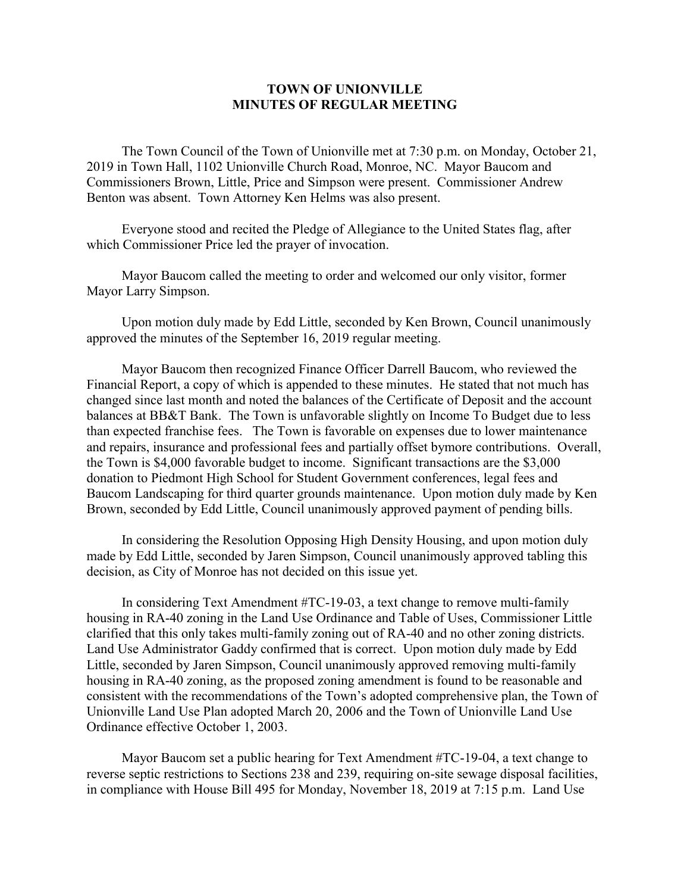## **TOWN OF UNIONVILLE MINUTES OF REGULAR MEETING**

The Town Council of the Town of Unionville met at 7:30 p.m. on Monday, October 21, 2019 in Town Hall, 1102 Unionville Church Road, Monroe, NC. Mayor Baucom and Commissioners Brown, Little, Price and Simpson were present. Commissioner Andrew Benton was absent. Town Attorney Ken Helms was also present.

Everyone stood and recited the Pledge of Allegiance to the United States flag, after which Commissioner Price led the prayer of invocation.

Mayor Baucom called the meeting to order and welcomed our only visitor, former Mayor Larry Simpson.

Upon motion duly made by Edd Little, seconded by Ken Brown, Council unanimously approved the minutes of the September 16, 2019 regular meeting.

Mayor Baucom then recognized Finance Officer Darrell Baucom, who reviewed the Financial Report, a copy of which is appended to these minutes. He stated that not much has changed since last month and noted the balances of the Certificate of Deposit and the account balances at BB&T Bank. The Town is unfavorable slightly on Income To Budget due to less than expected franchise fees. The Town is favorable on expenses due to lower maintenance and repairs, insurance and professional fees and partially offset bymore contributions. Overall, the Town is \$4,000 favorable budget to income. Significant transactions are the \$3,000 donation to Piedmont High School for Student Government conferences, legal fees and Baucom Landscaping for third quarter grounds maintenance. Upon motion duly made by Ken Brown, seconded by Edd Little, Council unanimously approved payment of pending bills.

In considering the Resolution Opposing High Density Housing, and upon motion duly made by Edd Little, seconded by Jaren Simpson, Council unanimously approved tabling this decision, as City of Monroe has not decided on this issue yet.

In considering Text Amendment #TC-19-03, a text change to remove multi-family housing in RA-40 zoning in the Land Use Ordinance and Table of Uses, Commissioner Little clarified that this only takes multi-family zoning out of RA-40 and no other zoning districts. Land Use Administrator Gaddy confirmed that is correct. Upon motion duly made by Edd Little, seconded by Jaren Simpson, Council unanimously approved removing multi-family housing in RA-40 zoning, as the proposed zoning amendment is found to be reasonable and consistent with the recommendations of the Town's adopted comprehensive plan, the Town of Unionville Land Use Plan adopted March 20, 2006 and the Town of Unionville Land Use Ordinance effective October 1, 2003.

Mayor Baucom set a public hearing for Text Amendment #TC-19-04, a text change to reverse septic restrictions to Sections 238 and 239, requiring on-site sewage disposal facilities, in compliance with House Bill 495 for Monday, November 18, 2019 at 7:15 p.m. Land Use